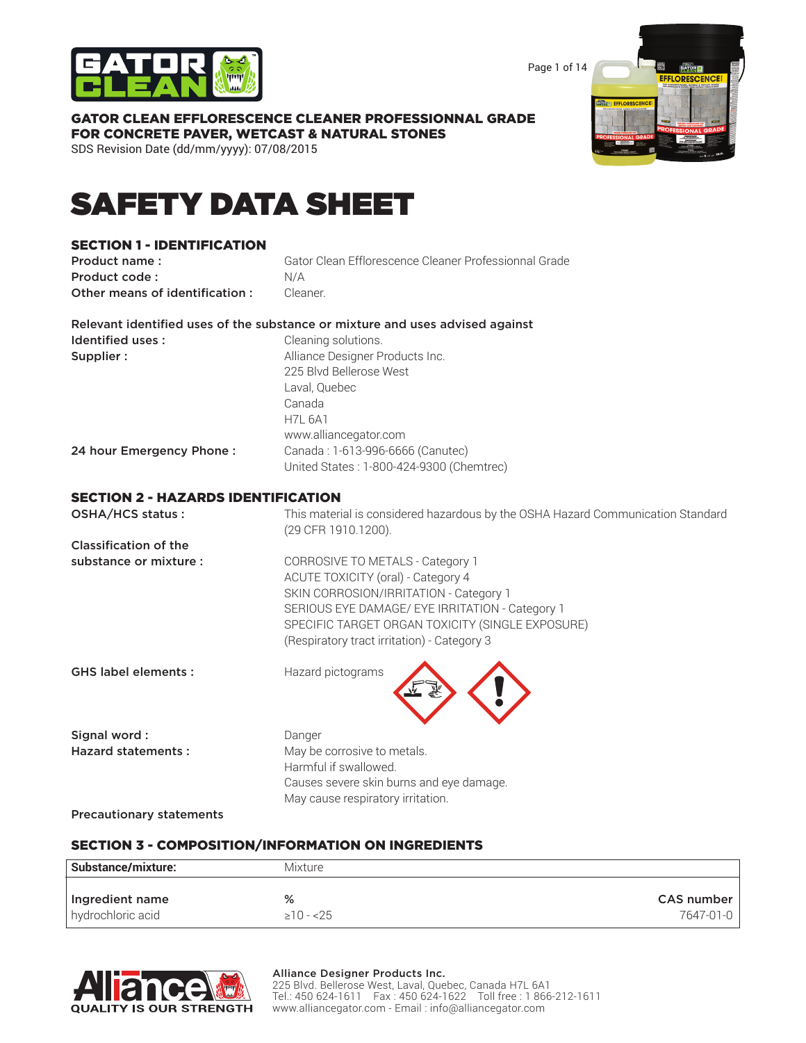

Page 1 of 14

# GATOR CLEAN EFFLORESCENCE CLEANER PROFESSIONNAL GRADE FOR CONCRETE PAVER, WETCAST & NATURAL STONES

SDS Revision Date (dd/mm/yyyy): 07/08/2015



# SAFETY DATA SHEET

### SECTION 1 - IDENTIFICATION

| Product name:                  | Gator Clean Efflorescence Cleaner Professionnal Grade |
|--------------------------------|-------------------------------------------------------|
| Product code:                  | N/A                                                   |
| Other means of identification: | Cleaner                                               |

| Relevant identified uses of the substance or mixture and uses advised against |                                 |
|-------------------------------------------------------------------------------|---------------------------------|
| Identified uses :                                                             | Cleaning solutions.             |
| Supplier :                                                                    | Alliance Designer Products Inc. |
|                                                                               | 225 Blvd Bellerose West         |

Laval, Quebec

|                          | ________                                 |
|--------------------------|------------------------------------------|
|                          | Canada                                   |
|                          | <b>H7L 6A1</b>                           |
|                          | www.alliancegator.com                    |
| 24 hour Emergency Phone: | Canada: 1-613-996-6666 (Canutec)         |
|                          | United States: 1-800-424-9300 (Chemtrec) |

### SECTION 2 - HAZARDS IDENTIFICATION

OSHA/HCS status : This material is considered hazardous by the OSHA Hazard Communication Standard (29 CFR 1910.1200).

Classification of the

substance or mixture : CORROSIVE TO METALS - Category 1 ACUTE TOXICITY (oral) - Category 4 SKIN CORROSION/IRRITATION - Category 1 SERIOUS EYE DAMAGE/ EYE IRRITATION - Category 1 SPECIFIC TARGET ORGAN TOXICITY (SINGLE EXPOSURE) (Respiratory tract irritation) - Category 3

GHS label elements : Hazard pictograms



Signal word : Danger

Hazard statements : May be corrosive to metals. Harmful if swallowed. Causes severe skin burns and eye damage. May cause respiratory irritation.

Precautionary statements

### SECTION 3 - COMPOSITION/INFORMATION ON INGREDIENTS

| Substance/mixture: | <b>Mixture</b> |                   |
|--------------------|----------------|-------------------|
| Ingredient name    | %              | <b>CAS number</b> |
| hydrochloric acid  | $\geq 10 - 25$ | 7647-01-0         |



#### Alliance Designer Products Inc.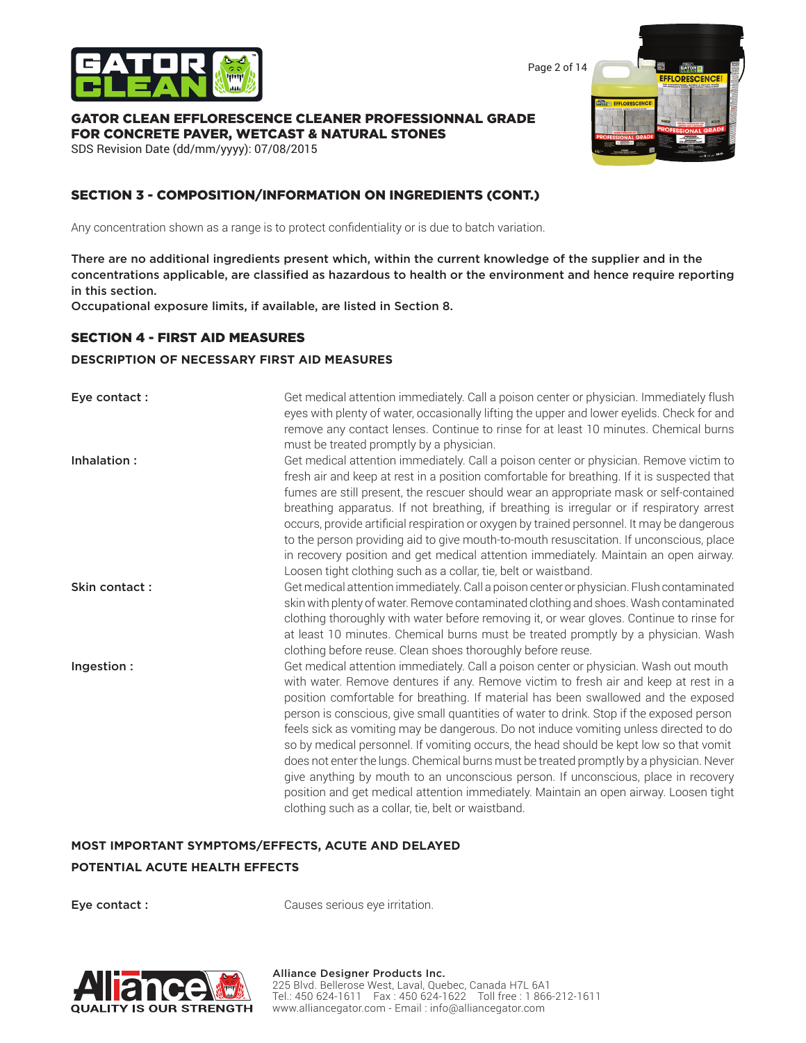

Page 2 of 14

#### GATOR CLEAN EFFLORESCENCE CLEANER PROFESSIONNAL GRADE FOR CONCRETE PAVER, WETCAST & NATURAL STONES

SDS Revision Date (dd/mm/yyyy): 07/08/2015

# SECTION 3 - COMPOSITION/INFORMATION ON INGREDIENTS (CONT.)

Any concentration shown as a range is to protect confidentiality or is due to batch variation.

There are no additional ingredients present which, within the current knowledge of the supplier and in the concentrations applicable, are classified as hazardous to health or the environment and hence require reporting in this section.

Occupational exposure limits, if available, are listed in Section 8.

#### SECTION 4 - FIRST AID MEASURES

#### **DESCRIPTION OF NECESSARY FIRST AID MEASURES**

| Eye contact:  | Get medical attention immediately. Call a poison center or physician. Immediately flush<br>eyes with plenty of water, occasionally lifting the upper and lower eyelids. Check for and<br>remove any contact lenses. Continue to rinse for at least 10 minutes. Chemical burns<br>must be treated promptly by a physician.                                                                                                                                                                                                                                                                                                                                                                                                                                                                                                                                                         |
|---------------|-----------------------------------------------------------------------------------------------------------------------------------------------------------------------------------------------------------------------------------------------------------------------------------------------------------------------------------------------------------------------------------------------------------------------------------------------------------------------------------------------------------------------------------------------------------------------------------------------------------------------------------------------------------------------------------------------------------------------------------------------------------------------------------------------------------------------------------------------------------------------------------|
| Inhalation:   | Get medical attention immediately. Call a poison center or physician. Remove victim to<br>fresh air and keep at rest in a position comfortable for breathing. If it is suspected that<br>fumes are still present, the rescuer should wear an appropriate mask or self-contained<br>breathing apparatus. If not breathing, if breathing is irregular or if respiratory arrest<br>occurs, provide artificial respiration or oxygen by trained personnel. It may be dangerous<br>to the person providing aid to give mouth-to-mouth resuscitation. If unconscious, place<br>in recovery position and get medical attention immediately. Maintain an open airway.<br>Loosen tight clothing such as a collar, tie, belt or waistband.                                                                                                                                                  |
| Skin contact: | Get medical attention immediately. Call a poison center or physician. Flush contaminated<br>skin with plenty of water. Remove contaminated clothing and shoes. Wash contaminated<br>clothing thoroughly with water before removing it, or wear gloves. Continue to rinse for<br>at least 10 minutes. Chemical burns must be treated promptly by a physician. Wash<br>clothing before reuse. Clean shoes thoroughly before reuse.                                                                                                                                                                                                                                                                                                                                                                                                                                                  |
| Ingestion:    | Get medical attention immediately. Call a poison center or physician. Wash out mouth<br>with water. Remove dentures if any. Remove victim to fresh air and keep at rest in a<br>position comfortable for breathing. If material has been swallowed and the exposed<br>person is conscious, give small quantities of water to drink. Stop if the exposed person<br>feels sick as vomiting may be dangerous. Do not induce vomiting unless directed to do<br>so by medical personnel. If vomiting occurs, the head should be kept low so that vomit<br>does not enter the lungs. Chemical burns must be treated promptly by a physician. Never<br>give anything by mouth to an unconscious person. If unconscious, place in recovery<br>position and get medical attention immediately. Maintain an open airway. Loosen tight<br>clothing such as a collar, tie, belt or waistband. |

# **MOST IMPORTANT SYMPTOMS/EFFECTS, ACUTE AND DELAYED POTENTIAL ACUTE HEALTH EFFECTS**

Eye contact : Causes serious eye irritation.

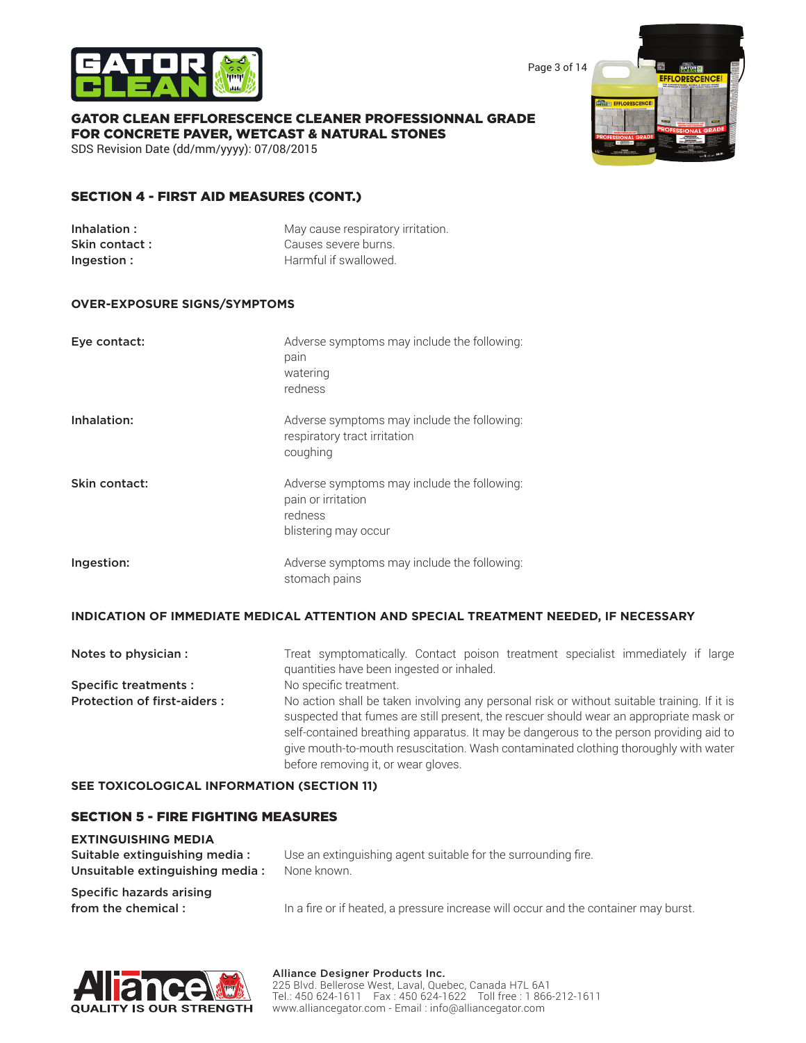

Page 3 of 14

**EFFI ODES** 

#### GATOR CLEAN EFFLORESCENCE CLEANER PROFESSIONNAL GRADE FOR CONCRETE PAVER, WETCAST & NATURAL STONES

SDS Revision Date (dd/mm/yyyy): 07/08/2015

### SECTION 4 - FIRST AID MEASURES (CONT.)

| Inhalation:   | May cause respiratory irritation. |
|---------------|-----------------------------------|
| Skin contact: | Causes severe burns.              |
| Ingestion:    | Harmful if swallowed.             |

#### **OVER-EXPOSURE SIGNS/SYMPTOMS**

| Eye contact:  | Adverse symptoms may include the following:<br>pain<br>watering<br>redness                           |
|---------------|------------------------------------------------------------------------------------------------------|
| Inhalation:   | Adverse symptoms may include the following:<br>respiratory tract irritation<br>coughing              |
| Skin contact: | Adverse symptoms may include the following:<br>pain or irritation<br>redness<br>blistering may occur |
| Ingestion:    | Adverse symptoms may include the following:<br>stomach pains                                         |

#### **INDICATION OF IMMEDIATE MEDICAL ATTENTION AND SPECIAL TREATMENT NEEDED, IF NECESSARY**

| Notes to physician :               | Treat symptomatically. Contact poison treatment specialist immediately if large<br>quantities have been ingested or inhaled.                                                                                                                                                                                                                                                                                  |
|------------------------------------|---------------------------------------------------------------------------------------------------------------------------------------------------------------------------------------------------------------------------------------------------------------------------------------------------------------------------------------------------------------------------------------------------------------|
| <b>Specific treatments:</b>        | No specific treatment.                                                                                                                                                                                                                                                                                                                                                                                        |
| <b>Protection of first-aiders:</b> | No action shall be taken involving any personal risk or without suitable training. If it is<br>suspected that fumes are still present, the rescuer should wear an appropriate mask or<br>self-contained breathing apparatus. It may be dangerous to the person providing aid to<br>give mouth-to-mouth resuscitation. Wash contaminated clothing thoroughly with water<br>before removing it, or wear gloves. |

#### **SEE TOXICOLOGICAL INFORMATION (SECTION 11)**

#### SECTION 5 - FIRE FIGHTING MEASURES

# **EXTINGUISHING MEDIA**

| Suitable extinguishing media:<br>Unsuitable extinguishing media: | Use an extinguishing agent suitable for the surrounding fire.<br>None known.        |  |
|------------------------------------------------------------------|-------------------------------------------------------------------------------------|--|
| Specific hazards arising                                         |                                                                                     |  |
| from the chemical:                                               | In a fire or if heated, a pressure increase will occur and the container may burst. |  |

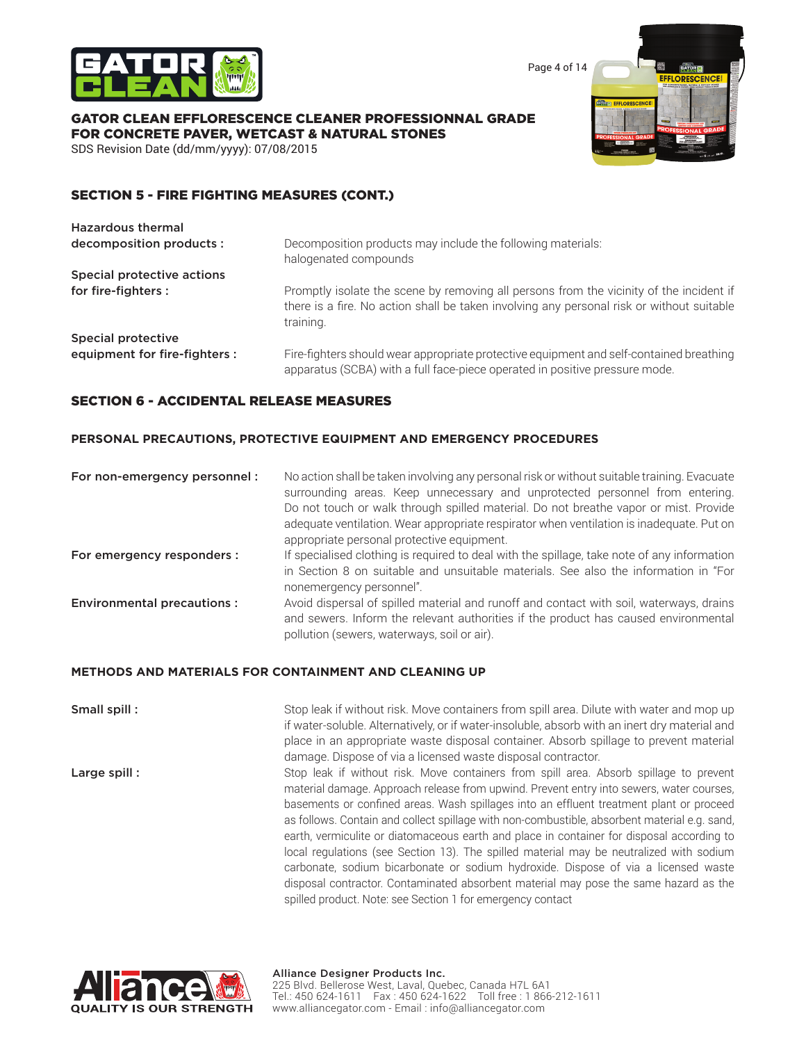

Page 4 of 14

### GATOR CLEAN EFFLORESCENCE CLEANER PROFESSIONNAL GRADE FOR CONCRETE PAVER, WETCAST & NATURAL STONES

SDS Revision Date (dd/mm/yyyy): 07/08/2015

### SECTION 5 - FIRE FIGHTING MEASURES (CONT.)

| <b>Hazardous thermal</b>      |                                                                                                                                                                                                   |
|-------------------------------|---------------------------------------------------------------------------------------------------------------------------------------------------------------------------------------------------|
| decomposition products :      | Decomposition products may include the following materials:<br>halogenated compounds                                                                                                              |
| Special protective actions    |                                                                                                                                                                                                   |
| for fire-fighters :           | Promptly isolate the scene by removing all persons from the vicinity of the incident if<br>there is a fire. No action shall be taken involving any personal risk or without suitable<br>training. |
| Special protective            |                                                                                                                                                                                                   |
| equipment for fire-fighters : | Fire-fighters should wear appropriate protective equipment and self-contained breathing<br>apparatus (SCBA) with a full face-piece operated in positive pressure mode.                            |

### SECTION 6 - ACCIDENTAL RELEASE MEASURES

#### **PERSONAL PRECAUTIONS, PROTECTIVE EQUIPMENT AND EMERGENCY PROCEDURES**

| For non-emergency personnel:      | No action shall be taken involving any personal risk or without suitable training. Evacuate<br>surrounding areas. Keep unnecessary and unprotected personnel from entering.<br>Do not touch or walk through spilled material. Do not breathe vapor or mist. Provide<br>adequate ventilation. Wear appropriate respirator when ventilation is inadequate. Put on<br>appropriate personal protective equipment. |
|-----------------------------------|---------------------------------------------------------------------------------------------------------------------------------------------------------------------------------------------------------------------------------------------------------------------------------------------------------------------------------------------------------------------------------------------------------------|
| For emergency responders :        | If specialised clothing is required to deal with the spillage, take note of any information<br>in Section 8 on suitable and unsuitable materials. See also the information in "For<br>nonemergency personnel".                                                                                                                                                                                                |
| <b>Environmental precautions:</b> | Avoid dispersal of spilled material and runoff and contact with soil, waterways, drains<br>and sewers. Inform the relevant authorities if the product has caused environmental<br>pollution (sewers, waterways, soil or air).                                                                                                                                                                                 |

#### **METHODS AND MATERIALS FOR CONTAINMENT AND CLEANING UP**

**Small spill :** Stop leak if without risk. Move containers from spill area. Dilute with water and mop up if water-soluble. Alternatively, or if water-insoluble, absorb with an inert dry material and place in an appropriate waste disposal container. Absorb spillage to prevent material damage. Dispose of via a licensed waste disposal contractor.

**Large spill :** Stop leak if without risk. Move containers from spill area. Absorb spillage to prevent material damage. Approach release from upwind. Prevent entry into sewers, water courses, basements or confined areas. Wash spillages into an effluent treatment plant or proceed as follows. Contain and collect spillage with non-combustible, absorbent material e.g. sand, earth, vermiculite or diatomaceous earth and place in container for disposal according to local regulations (see Section 13). The spilled material may be neutralized with sodium carbonate, sodium bicarbonate or sodium hydroxide. Dispose of via a licensed waste disposal contractor. Contaminated absorbent material may pose the same hazard as the spilled product. Note: see Section 1 for emergency contact

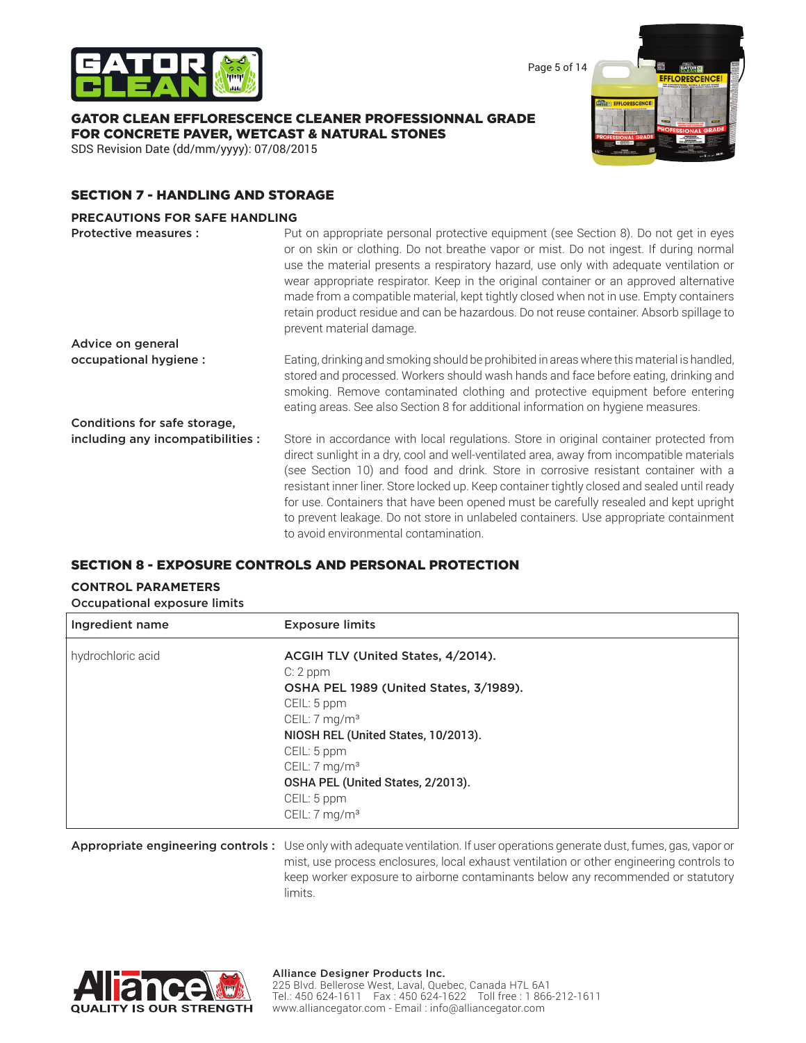

Page 5 of 14

### GATOR CLEAN EFFLORESCENCE CLEANER PROFESSIONNAL GRADE FOR CONCRETE PAVER, WETCAST & NATURAL STONES

SDS Revision Date (dd/mm/yyyy): 07/08/2015



## SECTION 7 - HANDLING AND STORAGE

#### **PRECAUTIONS FOR SAFE HANDLING**

| Protective measures :             | Put on appropriate personal protective equipment (see Section 8). Do not get in eyes<br>or on skin or clothing. Do not breathe vapor or mist. Do not ingest. If during normal<br>use the material presents a respiratory hazard, use only with adequate ventilation or<br>wear appropriate respirator. Keep in the original container or an approved alternative<br>made from a compatible material, kept tightly closed when not in use. Empty containers<br>retain product residue and can be hazardous. Do not reuse container. Absorb spillage to<br>prevent material damage.                    |
|-----------------------------------|------------------------------------------------------------------------------------------------------------------------------------------------------------------------------------------------------------------------------------------------------------------------------------------------------------------------------------------------------------------------------------------------------------------------------------------------------------------------------------------------------------------------------------------------------------------------------------------------------|
| Advice on general                 |                                                                                                                                                                                                                                                                                                                                                                                                                                                                                                                                                                                                      |
| occupational hygiene :            | Eating, drinking and smoking should be prohibited in areas where this material is handled,<br>stored and processed. Workers should wash hands and face before eating, drinking and<br>smoking. Remove contaminated clothing and protective equipment before entering<br>eating areas. See also Section 8 for additional information on hygiene measures.                                                                                                                                                                                                                                             |
| Conditions for safe storage,      |                                                                                                                                                                                                                                                                                                                                                                                                                                                                                                                                                                                                      |
| including any incompatibilities : | Store in accordance with local regulations. Store in original container protected from<br>direct sunlight in a dry, cool and well-ventilated area, away from incompatible materials<br>(see Section 10) and food and drink. Store in corrosive resistant container with a<br>resistant inner liner. Store locked up. Keep container tightly closed and sealed until ready<br>for use. Containers that have been opened must be carefully resealed and kept upright<br>to prevent leakage. Do not store in unlabeled containers. Use appropriate containment<br>to avoid environmental contamination. |

### SECTION 8 - EXPOSURE CONTROLS AND PERSONAL PROTECTION

### **CONTROL PARAMETERS**

Occupational exposure limits

| Ingredient name   | <b>Exposure limits</b>                 |
|-------------------|----------------------------------------|
| hydrochloric acid | ACGIH TLV (United States, 4/2014).     |
|                   | $C: 2$ ppm                             |
|                   | OSHA PEL 1989 (United States, 3/1989). |
|                   | CEIL: 5 ppm                            |
|                   | CEIL: 7 mg/m <sup>3</sup>              |
|                   | NIOSH REL (United States, 10/2013).    |
|                   | CEIL: 5 ppm                            |
|                   | CEIL: $7 \text{ mg/m}^3$               |
|                   | OSHA PEL (United States, 2/2013).      |
|                   | CEIL: 5 ppm                            |
|                   | CEIL: 7 mg/m <sup>3</sup>              |
|                   |                                        |

Appropriate engineering controls: Use only with adequate ventilation. If user operations generate dust, fumes, gas, vapor or mist, use process enclosures, local exhaust ventilation or other engineering controls to keep worker exposure to airborne contaminants below any recommended or statutory limits.

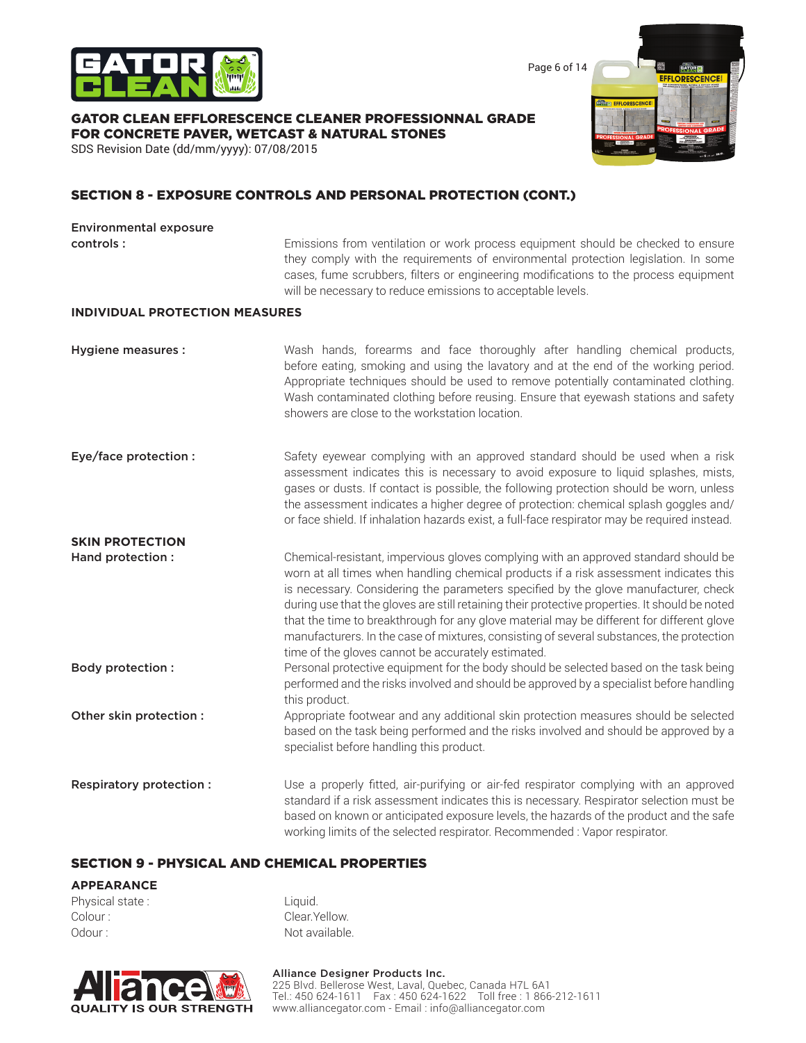

Page 6 of 14

### GATOR CLEAN EFFLORESCENCE CLEANER PROFESSIONNAL GRADE FOR CONCRETE PAVER, WETCAST & NATURAL STONES

SDS Revision Date (dd/mm/yyyy): 07/08/2015

## SECTION 8 - EXPOSURE CONTROLS AND PERSONAL PROTECTION (CONT.)

# Environmental exposure **controls :** Emissions from ventilation or work process equipment should be checked to ensure they comply with the requirements of environmental protection legislation. In some cases, fume scrubbers, filters or engineering modifications to the process equipment will be necessary to reduce emissions to acceptable levels. **INDIVIDUAL PROTECTION MEASURES** Hygiene measures : Wash hands, forearms and face thoroughly after handling chemical products, before eating, smoking and using the lavatory and at the end of the working period. Appropriate techniques should be used to remove potentially contaminated clothing. Wash contaminated clothing before reusing. Ensure that eyewash stations and safety showers are close to the workstation location. **Eye/face protection :** Safety eyewear complying with an approved standard should be used when a risk assessment indicates this is necessary to avoid exposure to liquid splashes, mists, gases or dusts. If contact is possible, the following protection should be worn, unless the assessment indicates a higher degree of protection: chemical splash goggles and/ or face shield. If inhalation hazards exist, a full-face respirator may be required instead. **SKIN PROTECTION** Hand protection : Chemical-resistant, impervious gloves complying with an approved standard should be worn at all times when handling chemical products if a risk assessment indicates this is necessary. Considering the parameters specified by the glove manufacturer, check during use that the gloves are still retaining their protective properties. It should be noted that the time to breakthrough for any glove material may be different for different glove manufacturers. In the case of mixtures, consisting of several substances, the protection time of the gloves cannot be accurately estimated. **Body protection :** Personal protective equipment for the body should be selected based on the task being performed and the risks involved and should be approved by a specialist before handling this product. Other skin protection : Appropriate footwear and any additional skin protection measures should be selected based on the task being performed and the risks involved and should be approved by a specialist before handling this product. **Respiratory protection :** Use a properly fitted, air-purifying or air-fed respirator complying with an approved standard if a risk assessment indicates this is necessary. Respirator selection must be based on known or anticipated exposure levels, the hazards of the product and the safe working limits of the selected respirator. Recommended : Vapor respirator.

### SECTION 9 - PHYSICAL AND CHEMICAL PROPERTIES

#### **APPEARANCE**

Physical state : Liquid. Colour : Colour : Clear.Yellow. Odour : Not available.

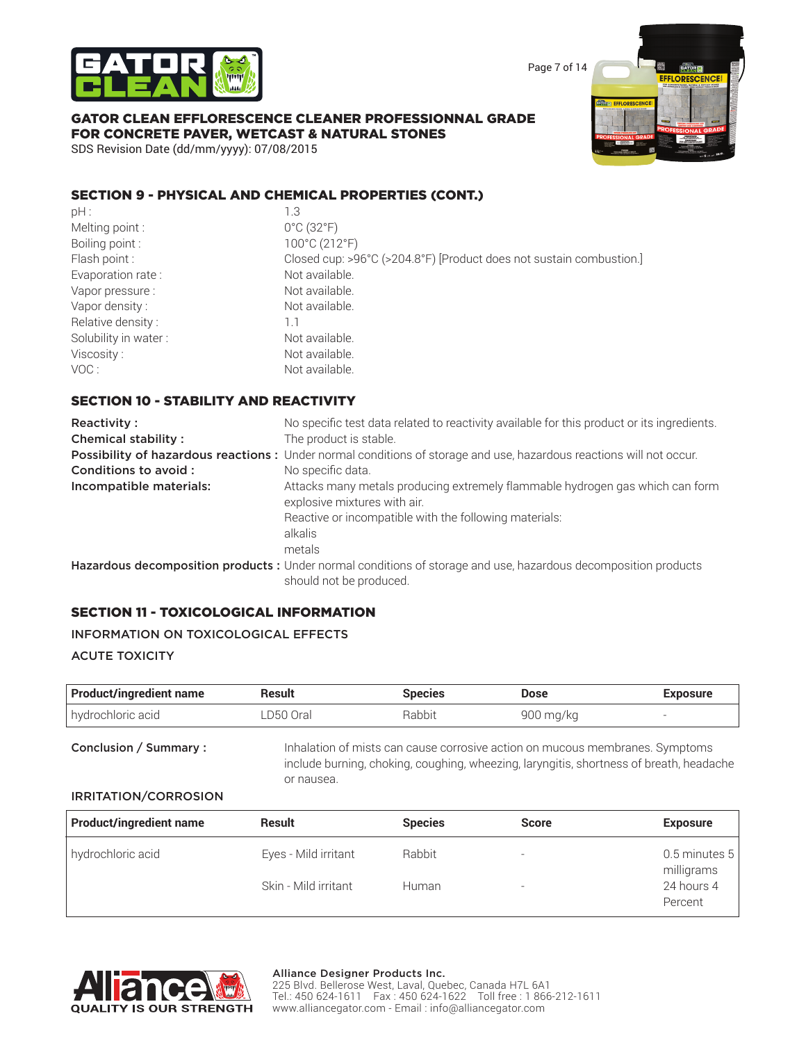

Page 7 of 14

# GATOR CLEAN EFFLORESCENCE CLEANER PROFESSIONNAL GRADE FOR CONCRETE PAVER, WETCAST & NATURAL STONES

SDS Revision Date (dd/mm/yyyy): 07/08/2015

### SECTION 9 - PHYSICAL AND CHEMICAL PROPERTIES (CONT.)

| pH:                  | 1.3             |
|----------------------|-----------------|
| Melting point:       | 0°0             |
| Boiling point:       | 10 <sub>0</sub> |
| Flash point:         | Clc             |
| Evaporation rate:    | Νo              |
| Vapor pressure:      | Νo              |
| Vapor density:       | Νo              |
| Relative density:    | 1.1             |
| Solubility in water: | No <sup>.</sup> |
| Viscosity:           | Νo              |
| VOC :                | Nο              |

0°C (32°F) Boiling point : 100°C (212°F) Closed cup: >96°C (>204.8°F) [Product does not sustain combustion.] Not available. Not available. Not available. Not available. Not available. Not available.

### SECTION 10 - STABILITY AND REACTIVITY

| Reactivity:                | No specific test data related to reactivity available for this product or its ingredients.                          |
|----------------------------|---------------------------------------------------------------------------------------------------------------------|
| <b>Chemical stability:</b> | The product is stable.                                                                                              |
|                            | Possibility of hazardous reactions: Under normal conditions of storage and use, hazardous reactions will not occur. |
| Conditions to avoid:       | No specific data.                                                                                                   |
| Incompatible materials:    | Attacks many metals producing extremely flammable hydrogen gas which can form<br>explosive mixtures with air.       |
|                            | Reactive or incompatible with the following materials:                                                              |
|                            | alkalis                                                                                                             |
|                            | metals                                                                                                              |
|                            | Hazardous decomposition products : Under normal conditions of storage and use, hazardous decomposition products     |
|                            | should not be produced.                                                                                             |

### SECTION 11 - TOXICOLOGICAL INFORMATION

#### INFORMATION ON TOXICOLOGICAL EFFECTS

#### ACUTE TOXICITY

| <b>Product/ingredient name</b> | Result     | Species | Dose      | <b>Exposure</b> |
|--------------------------------|------------|---------|-----------|-----------------|
| hydrochloric acid              | '.D50 Oral | Rabbit  | 900 mg/kg |                 |

Conclusion / Summary : Inhalation of mists can cause corrosive action on mucous membranes. Symptoms include burning, choking, coughing, wheezing, laryngitis, shortness of breath, headache or nausea.

#### IRRITATION/CORROSION

| <b>Product/ingredient name</b> | Result               | <b>Species</b> | <b>Score</b>             | <b>Exposure</b>               |
|--------------------------------|----------------------|----------------|--------------------------|-------------------------------|
| hydrochloric acid              | Eyes - Mild irritant | Rabbit         | $\overline{\phantom{a}}$ | 0.5 minutes $5$<br>milligrams |
|                                | Skin - Mild irritant | Human          | $\overline{\phantom{a}}$ | 24 hours 4<br>Percent         |

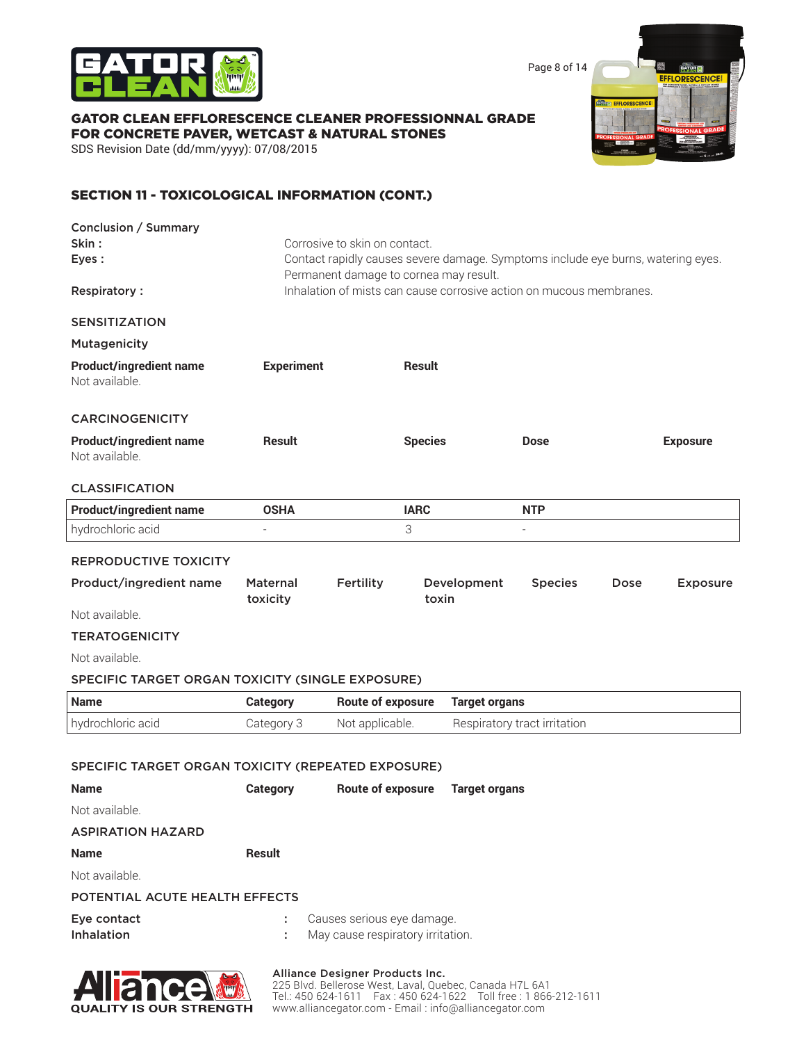

Page 8 of 14

羅

**BATREE EFFLORESCENCE** 

### GATOR CLEAN EFFLORESCENCE CLEANER PROFESSIONNAL GRADE FOR CONCRETE PAVER, WETCAST & NATURAL STONES

SDS Revision Date (dd/mm/yyyy): 07/08/2015

# SECTION 11 - TOXICOLOGICAL INFORMATION (CONT.)

| Skin:<br>Eyes:                                     | Corrosive to skin on contact.                                                                                              |                          |                      |                                                                     |      |                 |
|----------------------------------------------------|----------------------------------------------------------------------------------------------------------------------------|--------------------------|----------------------|---------------------------------------------------------------------|------|-----------------|
|                                                    | Contact rapidly causes severe damage. Symptoms include eye burns, watering eyes.<br>Permanent damage to cornea may result. |                          |                      |                                                                     |      |                 |
| <b>Respiratory:</b>                                |                                                                                                                            |                          |                      | Inhalation of mists can cause corrosive action on mucous membranes. |      |                 |
| <b>SENSITIZATION</b>                               |                                                                                                                            |                          |                      |                                                                     |      |                 |
| <b>Mutagenicity</b>                                |                                                                                                                            |                          |                      |                                                                     |      |                 |
| <b>Product/ingredient name</b><br>Not available.   | <b>Experiment</b>                                                                                                          |                          | Result               |                                                                     |      |                 |
| <b>CARCINOGENICITY</b>                             |                                                                                                                            |                          |                      |                                                                     |      |                 |
| <b>Product/ingredient name</b><br>Not available.   | <b>Result</b>                                                                                                              |                          | <b>Species</b>       | Dose                                                                |      | <b>Exposure</b> |
| <b>CLASSIFICATION</b>                              |                                                                                                                            |                          |                      |                                                                     |      |                 |
| <b>Product/ingredient name</b>                     | <b>OSHA</b>                                                                                                                |                          | <b>IARC</b>          | <b>NTP</b>                                                          |      |                 |
| hydrochloric acid                                  |                                                                                                                            | 3                        |                      | $\sim$                                                              |      |                 |
| <b>REPRODUCTIVE TOXICITY</b>                       |                                                                                                                            |                          |                      |                                                                     |      |                 |
| Product/ingredient name                            | Maternal<br>toxicity                                                                                                       | Fertility                | Development<br>toxin | <b>Species</b>                                                      | Dose | <b>Exposure</b> |
| Not available.                                     |                                                                                                                            |                          |                      |                                                                     |      |                 |
| <b>TERATOGENICITY</b>                              |                                                                                                                            |                          |                      |                                                                     |      |                 |
| Not available.                                     |                                                                                                                            |                          |                      |                                                                     |      |                 |
| SPECIFIC TARGET ORGAN TOXICITY (SINGLE EXPOSURE)   |                                                                                                                            |                          |                      |                                                                     |      |                 |
| <b>Name</b>                                        | <b>Category</b>                                                                                                            | <b>Route of exposure</b> | <b>Target organs</b> |                                                                     |      |                 |
| hydrochloric acid                                  | Category 3                                                                                                                 | Not applicable.          |                      | Respiratory tract irritation                                        |      |                 |
|                                                    |                                                                                                                            |                          |                      |                                                                     |      |                 |
| SPECIFIC TARGET ORGAN TOXICITY (REPEATED EXPOSURE) |                                                                                                                            |                          |                      |                                                                     |      |                 |
| <b>Name</b>                                        | <b>Category</b>                                                                                                            | <b>Route of exposure</b> | <b>Target organs</b> |                                                                     |      |                 |
| Not available.                                     |                                                                                                                            |                          |                      |                                                                     |      |                 |
| <b>ASPIRATION HAZARD</b>                           |                                                                                                                            |                          |                      |                                                                     |      |                 |
| <b>Name</b>                                        | <b>Result</b>                                                                                                              |                          |                      |                                                                     |      |                 |
| Not available.                                     |                                                                                                                            |                          |                      |                                                                     |      |                 |
|                                                    |                                                                                                                            |                          |                      |                                                                     |      |                 |
| POTENTIAL ACUTE HEALTH EFFECTS                     |                                                                                                                            |                          |                      |                                                                     |      |                 |



#### Alliance Designer Products Inc.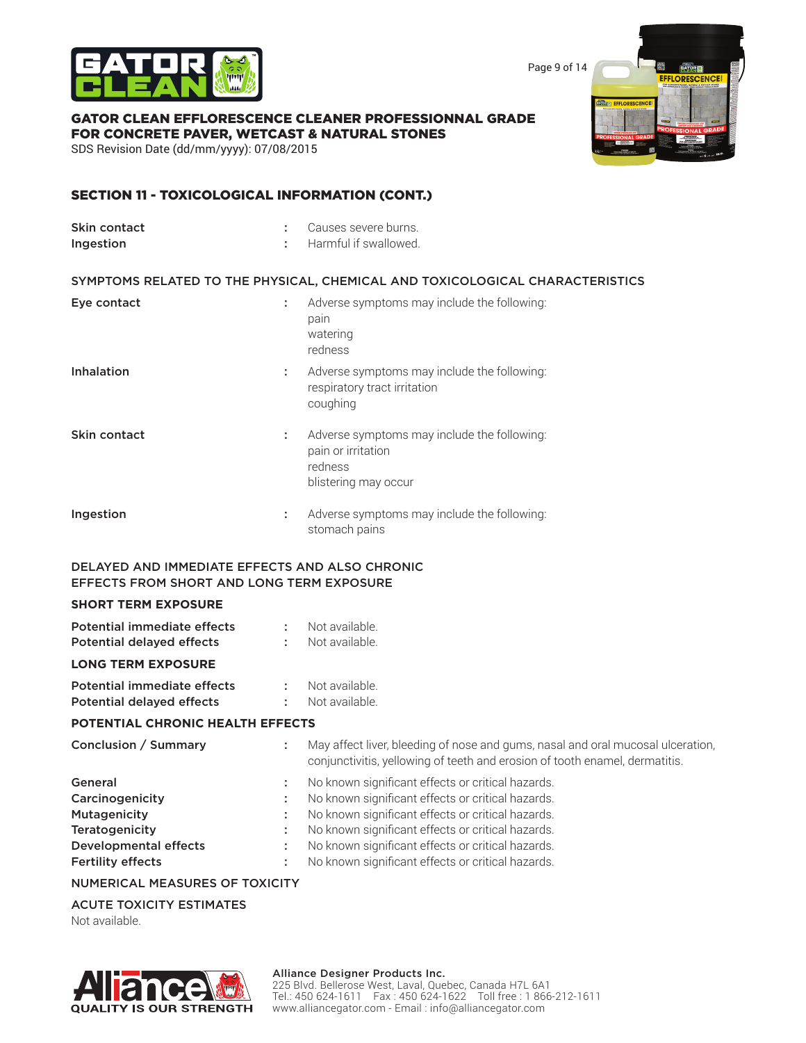

Page 9 of 14

**EFFLORESC** 

#### GATOR CLEAN EFFLORESCENCE CLEANER PROFESSIONNAL GRADE FOR CONCRETE PAVER, WETCAST & NATURAL STONES

SDS Revision Date (dd/mm/yyyy): 07/08/2015

### SECTION 11 - TOXICOLOGICAL INFORMATION (CONT.)

| Skin contact<br>Ingestion | ÷  | Causes severe burns.<br>Harmful if swallowed.                                                        |
|---------------------------|----|------------------------------------------------------------------------------------------------------|
|                           |    | SYMPTOMS RELATED TO THE PHYSICAL, CHEMICAL AND TOXICOLOGICAL CHARACTERISTICS                         |
| Eye contact               | ÷  | Adverse symptoms may include the following:<br>pain<br>watering<br>redness                           |
| <b>Inhalation</b>         | ÷  | Adverse symptoms may include the following:<br>respiratory tract irritation<br>coughing              |
| Skin contact              | ÷. | Adverse symptoms may include the following:<br>pain or irritation<br>redness<br>blistering may occur |
| Ingestion                 | ÷  | Adverse symptoms may include the following:<br>stomach pains                                         |

### DELAYED AND IMMEDIATE EFFECTS AND ALSO CHRONIC EFFECTS FROM SHORT AND LONG TERM EXPOSURE

#### **SHORT TERM EXPOSURE**

| <b>POTENTIAL CHRONIC HEALTH EFFECTS</b>                         |                  |                                  |  |  |
|-----------------------------------------------------------------|------------------|----------------------------------|--|--|
| Potential immediate effects<br><b>Potential delayed effects</b> | t in             | Not available.<br>Not available. |  |  |
| <b>LONG TERM EXPOSURE</b>                                       |                  |                                  |  |  |
| <b>Potential delayed effects</b>                                | $\sim$ 10 $\sim$ | Not available.                   |  |  |
| Potential immediate effects                                     | ÷.               | Not available.                   |  |  |

#### NUMERICAL MEASURES OF TOXICITY

#### ACUTE TOXICITY ESTIMATES

Not available.



#### Alliance Designer Products Inc.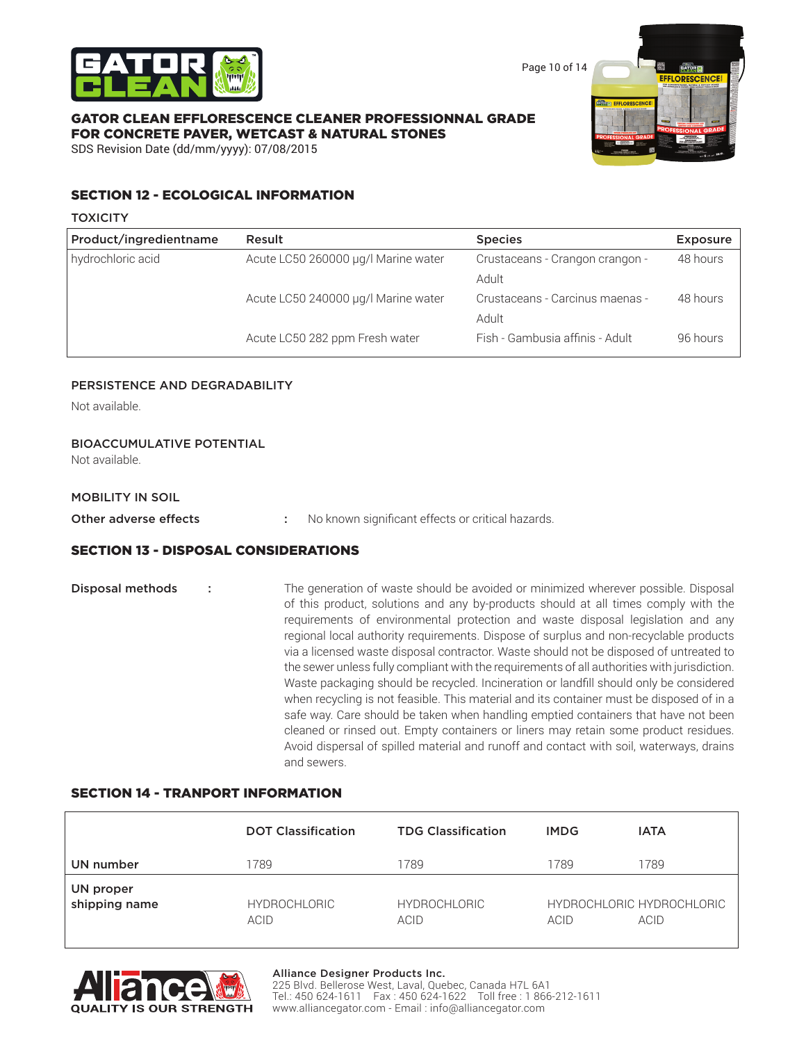

Page 10 of 14

### GATOR CLEAN EFFLORESCENCE CLEANER PROFESSIONNAL GRADE FOR CONCRETE PAVER, WETCAST & NATURAL STONES



SDS Revision Date (dd/mm/yyyy): 07/08/2015

### SECTION 12 - ECOLOGICAL INFORMATION

#### **TOXICITY**

| Product/ingredientname | Result                              | <b>Species</b>                  | <b>Exposure</b> |
|------------------------|-------------------------------------|---------------------------------|-----------------|
| hydrochloric acid      | Acute LC50 260000 µg/l Marine water | Crustaceans - Crangon crangon - | 48 hours        |
|                        |                                     | Adult                           |                 |
|                        | Acute LC50 240000 µg/l Marine water | Crustaceans - Carcinus maenas - | 48 hours        |
|                        |                                     | Adult                           |                 |
|                        | Acute LC50 282 ppm Fresh water      | Fish - Gambusia affinis - Adult | 96 hours        |

### PERSISTENCE AND DEGRADABILITY

Not available.

### BIOACCUMULATIVE POTENTIAL

Not available.

#### MOBILITY IN SOIL

Other adverse effects : No known significant effects or critical hazards.

### SECTION 13 - DISPOSAL CONSIDERATIONS

**Disposal methods** : The generation of waste should be avoided or minimized wherever possible. Disposal of this product, solutions and any by-products should at all times comply with the requirements of environmental protection and waste disposal legislation and any regional local authority requirements. Dispose of surplus and non-recyclable products via a licensed waste disposal contractor. Waste should not be disposed of untreated to the sewer unless fully compliant with the requirements of all authorities with jurisdiction. Waste packaging should be recycled. Incineration or landfill should only be considered when recycling is not feasible. This material and its container must be disposed of in a safe way. Care should be taken when handling emptied containers that have not been cleaned or rinsed out. Empty containers or liners may retain some product residues. Avoid dispersal of spilled material and runoff and contact with soil, waterways, drains and sewers.

### SECTION 14 - TRANPORT INFORMATION

|                            | <b>DOT Classification</b>   | <b>TDG Classification</b>   | <b>IMDG</b> | <b>IATA</b>                       |
|----------------------------|-----------------------------|-----------------------------|-------------|-----------------------------------|
| UN number                  | 789                         | 1789                        | 1789        | 1789                              |
| UN proper<br>shipping name | <b>HYDROCHLORIC</b><br>ACID | <b>HYDROCHLORIC</b><br>ACID | ACID        | HYDROCHLORIC HYDROCHLORIC<br>ACID |



#### Alliance Designer Products Inc.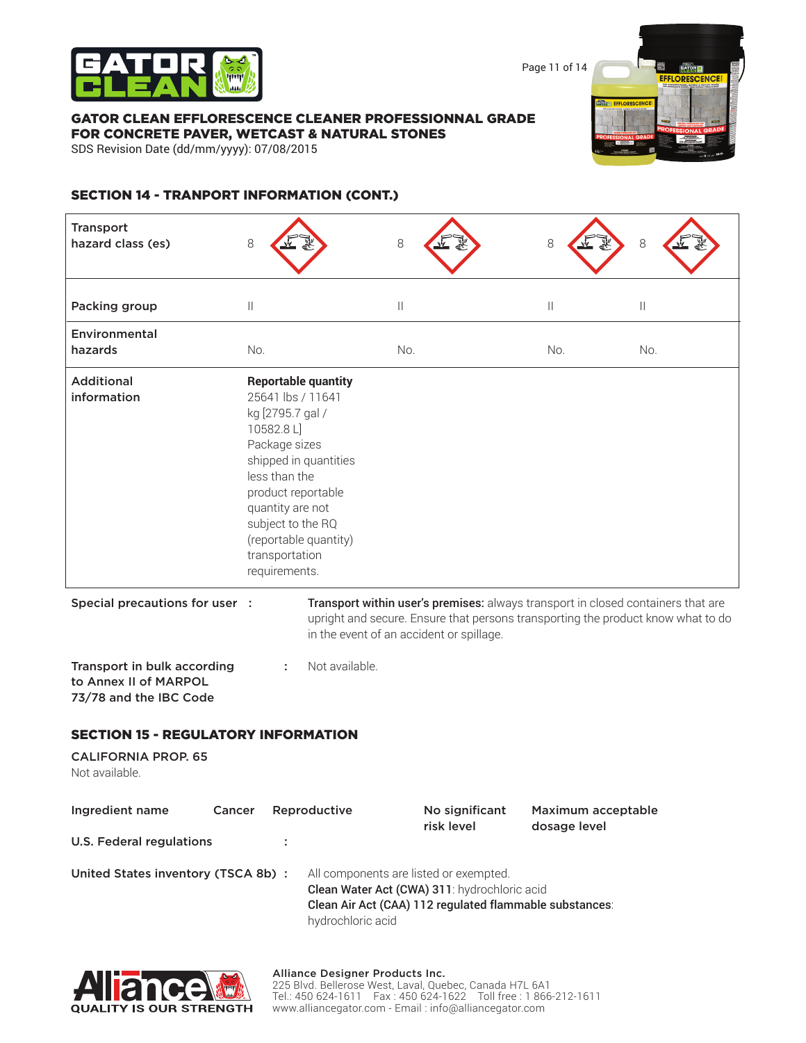

Page 11 of 14

#### GATOR CLEAN EFFLORESCENCE CLEANER PROFESSIONNAL GRADE FOR CONCRETE PAVER, WETCAST & NATURAL STONES

SDS Revision Date (dd/mm/yyyy): 07/08/2015



# SECTION 14 - TRANPORT INFORMATION (CONT.)

| <b>Transport</b><br>hazard class (es)                                          | 8                                                                                                                                                                                      |                                                                              | 8                                                                                                                                                 | 8                                  | 8                                                                                |
|--------------------------------------------------------------------------------|----------------------------------------------------------------------------------------------------------------------------------------------------------------------------------------|------------------------------------------------------------------------------|---------------------------------------------------------------------------------------------------------------------------------------------------|------------------------------------|----------------------------------------------------------------------------------|
| Packing group                                                                  | $\mathbb{I}$                                                                                                                                                                           |                                                                              | $\mid \; \mid$                                                                                                                                    | $\mathbf{  }$                      | Ш                                                                                |
| Environmental                                                                  |                                                                                                                                                                                        |                                                                              |                                                                                                                                                   |                                    |                                                                                  |
| hazards                                                                        | No.                                                                                                                                                                                    |                                                                              | No.                                                                                                                                               | No.                                | No.                                                                              |
| <b>Additional</b><br>information                                               | 25641 lbs / 11641<br>kg [2795.7 gal /<br>10582.8L]<br>Package sizes<br>less than the<br>product reportable<br>quantity are not<br>subject to the RQ<br>transportation<br>requirements. | <b>Reportable quantity</b><br>shipped in quantities<br>(reportable quantity) |                                                                                                                                                   |                                    |                                                                                  |
| Special precautions for user :                                                 |                                                                                                                                                                                        |                                                                              | Transport within user's premises: always transport in closed containers that are<br>in the event of an accident or spillage.                      |                                    | upright and secure. Ensure that persons transporting the product know what to do |
| Transport in bulk according<br>to Annex II of MARPOL<br>73/78 and the IBC Code | ÷                                                                                                                                                                                      | Not available.                                                               |                                                                                                                                                   |                                    |                                                                                  |
| <b>SECTION 15 - REGULATORY INFORMATION</b>                                     |                                                                                                                                                                                        |                                                                              |                                                                                                                                                   |                                    |                                                                                  |
| <b>CALIFORNIA PROP. 65</b><br>Not available.                                   |                                                                                                                                                                                        |                                                                              |                                                                                                                                                   |                                    |                                                                                  |
| Ingredient name<br>Cancer                                                      |                                                                                                                                                                                        | Reproductive                                                                 | No significant<br>risk level                                                                                                                      | Maximum acceptable<br>dosage level |                                                                                  |
| <b>U.S. Federal regulations</b>                                                |                                                                                                                                                                                        |                                                                              |                                                                                                                                                   |                                    |                                                                                  |
| United States inventory (TSCA 8b) :                                            |                                                                                                                                                                                        | hydrochloric acid                                                            | All components are listed or exempted.<br>Clean Water Act (CWA) 311: hydrochloric acid<br>Clean Air Act (CAA) 112 regulated flammable substances: |                                    |                                                                                  |

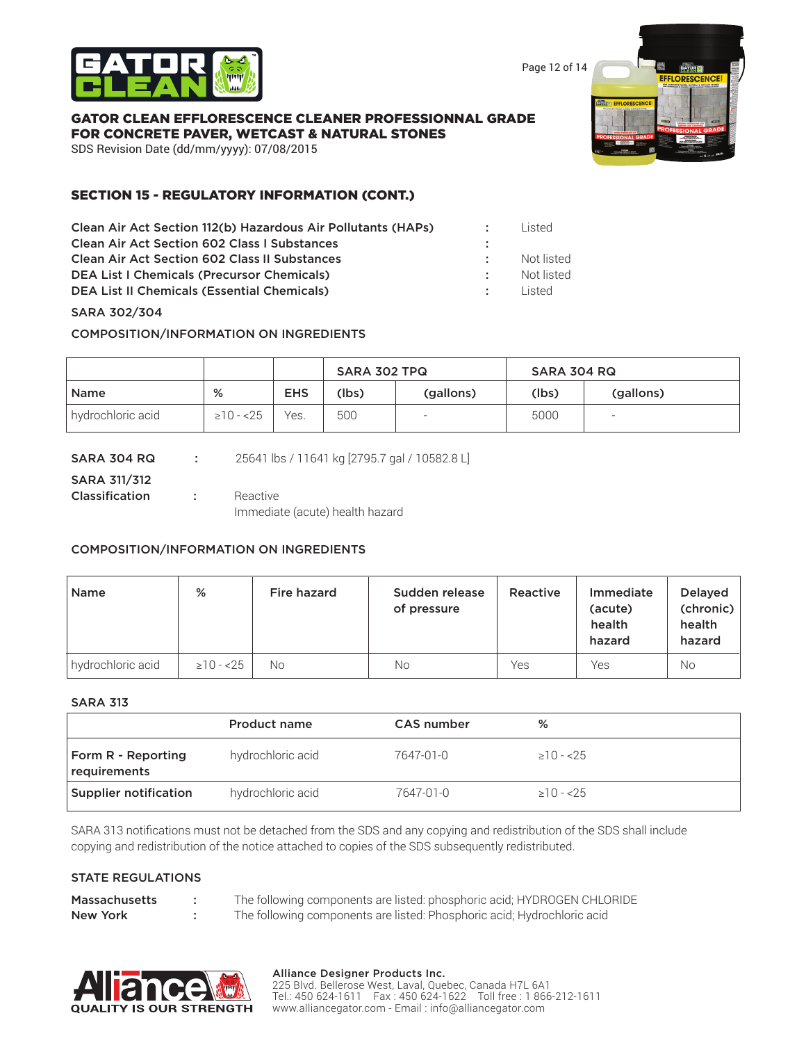

Page 12 of 14

#### GATOR CLEAN EFFLORESCENCE CLEANER PROFESSIONNAL GRADE FOR CONCRETE PAVER, WETCAST & NATURAL STONES

SDS Revision Date (dd/mm/yyyy): 07/08/2015

# SECTION 15 - REGULATORY INFORMATION (CONT.)

| Clean Air Act Section 112(b) Hazardous Air Pollutants (HAPs) |                | Listed.    |
|--------------------------------------------------------------|----------------|------------|
| <b>Clean Air Act Section 602 Class I Substances</b>          |                |            |
| <b>Clean Air Act Section 602 Class II Substances</b>         |                | Not listed |
| <b>DEA List I Chemicals (Precursor Chemicals)</b>            |                | Not listed |
| <b>DEA List II Chemicals (Essential Chemicals)</b>           | <b>COLLEGE</b> | l isted    |
|                                                              |                |            |

### SARA 302/304

COMPOSITION/INFORMATION ON INGREDIENTS

|                   |                 |            | SARA 302 TPQ |           | SARA 304 RQ |           |
|-------------------|-----------------|------------|--------------|-----------|-------------|-----------|
| Name              | %               | <b>EHS</b> | (lbs)        | (gallons) | (lbs)       | (gallons) |
| hydrochloric acid | $\geq$ 10 - <25 | Yes.       | 500          |           | 5000        |           |

| SARA 304 RQ         | 25641 lbs / 11641 kg [2795.7 gal / 10582.8 L] |
|---------------------|-----------------------------------------------|
| <b>SARA 311/312</b> |                                               |
| Classification      | Reactive                                      |
|                     | Immediate (acute) health hazard               |

### COMPOSITION/INFORMATION ON INGREDIENTS

| <b>Name</b>       | %               | Fire hazard | Sudden release<br>of pressure | Reactive | Immediate<br>(acute)<br>health<br>hazard | <b>Delayed</b><br>(chronic)<br>health<br>hazard |
|-------------------|-----------------|-------------|-------------------------------|----------|------------------------------------------|-------------------------------------------------|
| hydrochloric acid | $\geq$ 10 - <25 | No.         | Νo                            | Yes      | Yes                                      | <b>No</b>                                       |

#### SARA 313

|                                           | Product name      | CAS number | %               |
|-------------------------------------------|-------------------|------------|-----------------|
| <b>Form R - Reporting</b><br>requirements | hydrochloric acid | 7647-01-0  | $>10 - 25$      |
| Supplier notification                     | hydrochloric acid | 7647-01-0  | $\geq$ 10 - <25 |

SARA 313 notifications must not be detached from the SDS and any copying and redistribution of the SDS shall include copying and redistribution of the notice attached to copies of the SDS subsequently redistributed.

#### STATE REGULATIONS

| <b>Massachusetts</b> | The following components are listed: phosphoric acid; HYDROGEN CHLORIDE |
|----------------------|-------------------------------------------------------------------------|
| New York             | The following components are listed: Phosphoric acid; Hydrochloric acid |



#### Alliance Designer Products Inc.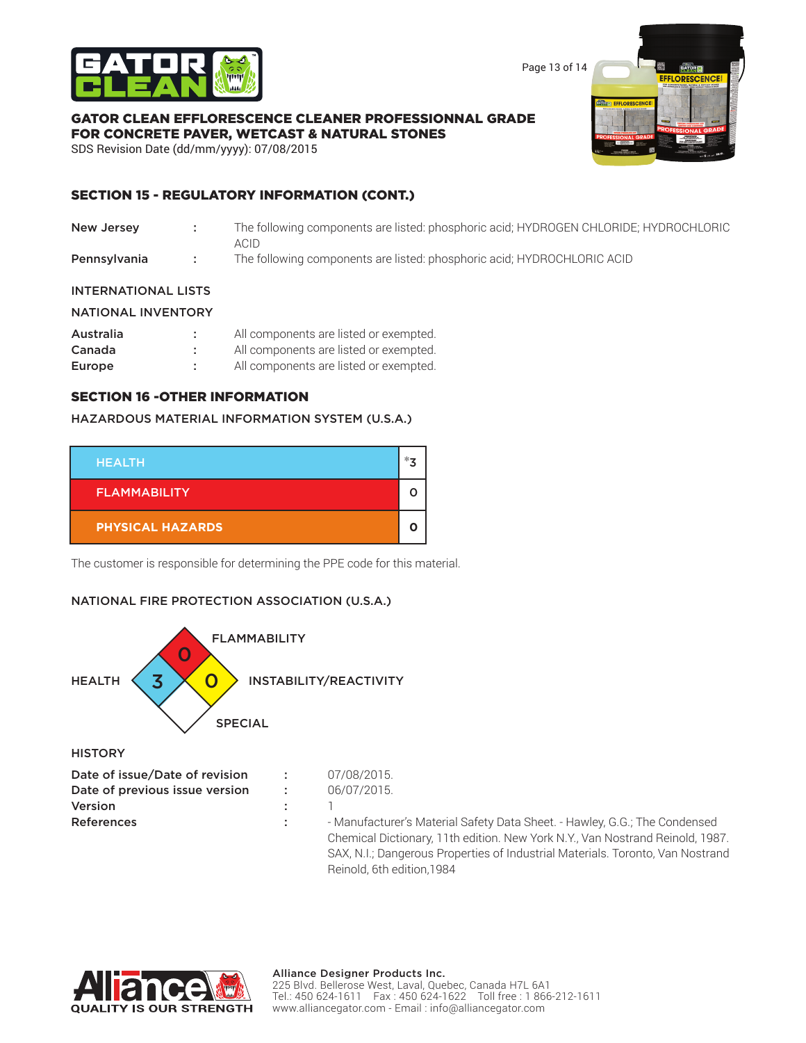

Page 13 of 14

### GATOR CLEAN EFFLORESCENCE CLEANER PROFESSIONNAL GRADE FOR CONCRETE PAVER, WETCAST & NATURAL STONES

SDS Revision Date (dd/mm/yyyy): 07/08/2015

# SECTION 15 - REGULATORY INFORMATION (CONT.)

- New Jersey : The following components are listed: phosphoric acid; HYDROGEN CHLORIDE; HYDROCHLORIC ACID
- **Pennsylvania** : The following components are listed: phosphoric acid; HYDROCHLORIC ACID

### INTERNATIONAL LISTS

#### NATIONAL INVENTORY

| Australia | All components are listed or exempted. |
|-----------|----------------------------------------|
| Canada    | All components are listed or exempted. |
| Europe    | All components are listed or exempted. |

### SECTION 16 -OTHER INFORMATION

#### HAZARDOUS MATERIAL INFORMATION SYSTEM (U.S.A.)

| <b>HEALTH</b>           | *- |
|-------------------------|----|
| <b>FLAMMABILITY</b>     |    |
| <b>PHYSICAL HAZARDS</b> |    |

The customer is responsible for determining the PPE code for this material.

### NATIONAL FIRE PROTECTION ASSOCIATION (U.S.A.)



**HISTORY** 

| Date of issue/Date of revision | 07/08/2015.                                                                                                                                                 |
|--------------------------------|-------------------------------------------------------------------------------------------------------------------------------------------------------------|
| Date of previous issue version | 06/07/2015                                                                                                                                                  |
| <b>Version</b>                 |                                                                                                                                                             |
| <b>References</b>              | - Manufacturer's Material Safety Data Sheet. - Hawley, G.G.; The Condensed<br>Chemical Dictionary, 11th edition. New York N.Y., Van Nostrand Reinold, 1987. |
|                                | CAV NII: Deparatour Drepartico of Industrial Meteriale Terente Van Nootrond                                                                                 |

SAX, N.I.; Dangerous Properties of Industrial Materials. Toronto, Van Nostrand Reinold, 6th edition,1984